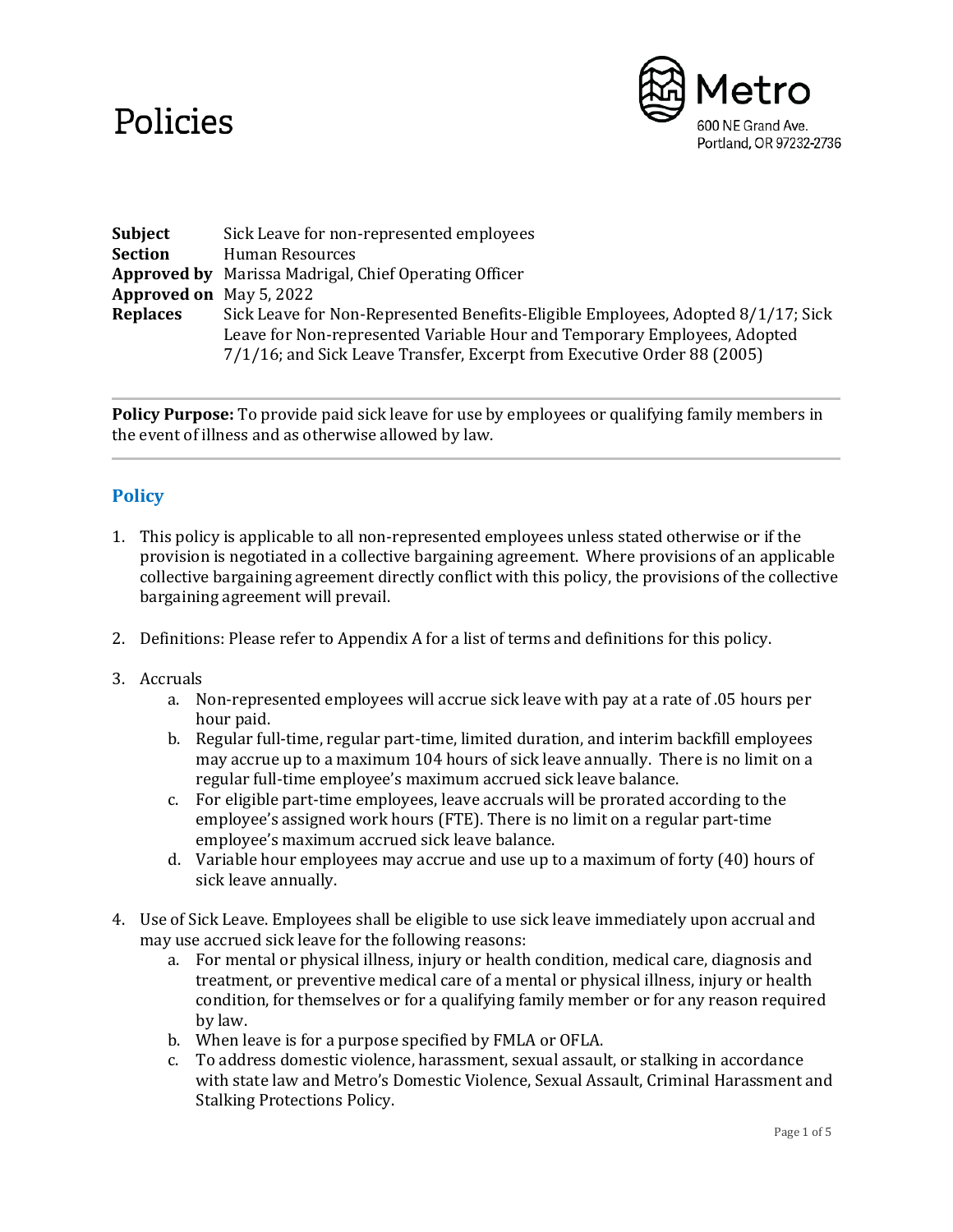# Policies



| Subject                        | Sick Leave for non-represented employees                                                                                                                                                                                                |
|--------------------------------|-----------------------------------------------------------------------------------------------------------------------------------------------------------------------------------------------------------------------------------------|
| <b>Section</b>                 | Human Resources                                                                                                                                                                                                                         |
|                                | <b>Approved by</b> Marissa Madrigal, Chief Operating Officer                                                                                                                                                                            |
| <b>Approved on</b> May 5, 2022 |                                                                                                                                                                                                                                         |
| <b>Replaces</b>                | Sick Leave for Non-Represented Benefits-Eligible Employees, Adopted 8/1/17; Sick<br>Leave for Non-represented Variable Hour and Temporary Employees, Adopted<br>7/1/16; and Sick Leave Transfer, Excerpt from Executive Order 88 (2005) |

**Policy Purpose:** To provide paid sick leave for use by employees or qualifying family members in the event of illness and as otherwise allowed by law.

# **Policy**

- 1. This policy is applicable to all non-represented employees unless stated otherwise or if the provision is negotiated in a collective bargaining agreement. Where provisions of an applicable collective bargaining agreement directly conflict with this policy, the provisions of the collective bargaining agreement will prevail.
- 2. Definitions: Please refer to Appendix A for a list of terms and definitions for this policy.
- 3. Accruals
	- a. Non-represented employees will accrue sick leave with pay at a rate of .05 hours per hour paid.
	- b. Regular full-time, regular part-time, limited duration, and interim backfill employees may accrue up to a maximum 104 hours of sick leave annually. There is no limit on a regular full-time employee's maximum accrued sick leave balance.
	- c. For eligible part-time employees, leave accruals will be prorated according to the employee's assigned work hours (FTE). There is no limit on a regular part-time employee's maximum accrued sick leave balance.
	- d. Variable hour employees may accrue and use up to a maximum of forty (40) hours of sick leave annually.
- 4. Use of Sick Leave. Employees shall be eligible to use sick leave immediately upon accrual and may use accrued sick leave for the following reasons:
	- a. For mental or physical illness, injury or health condition, medical care, diagnosis and treatment, or preventive medical care of a mental or physical illness, injury or health condition, for themselves or for a qualifying family member or for any reason required by law.
	- b. When leave is for a purpose specified by FMLA or OFLA.
	- c. To address domestic violence, harassment, sexual assault, or stalking in accordance with state law and Metro's Domestic Violence, Sexual Assault, Criminal Harassment and Stalking Protections Policy.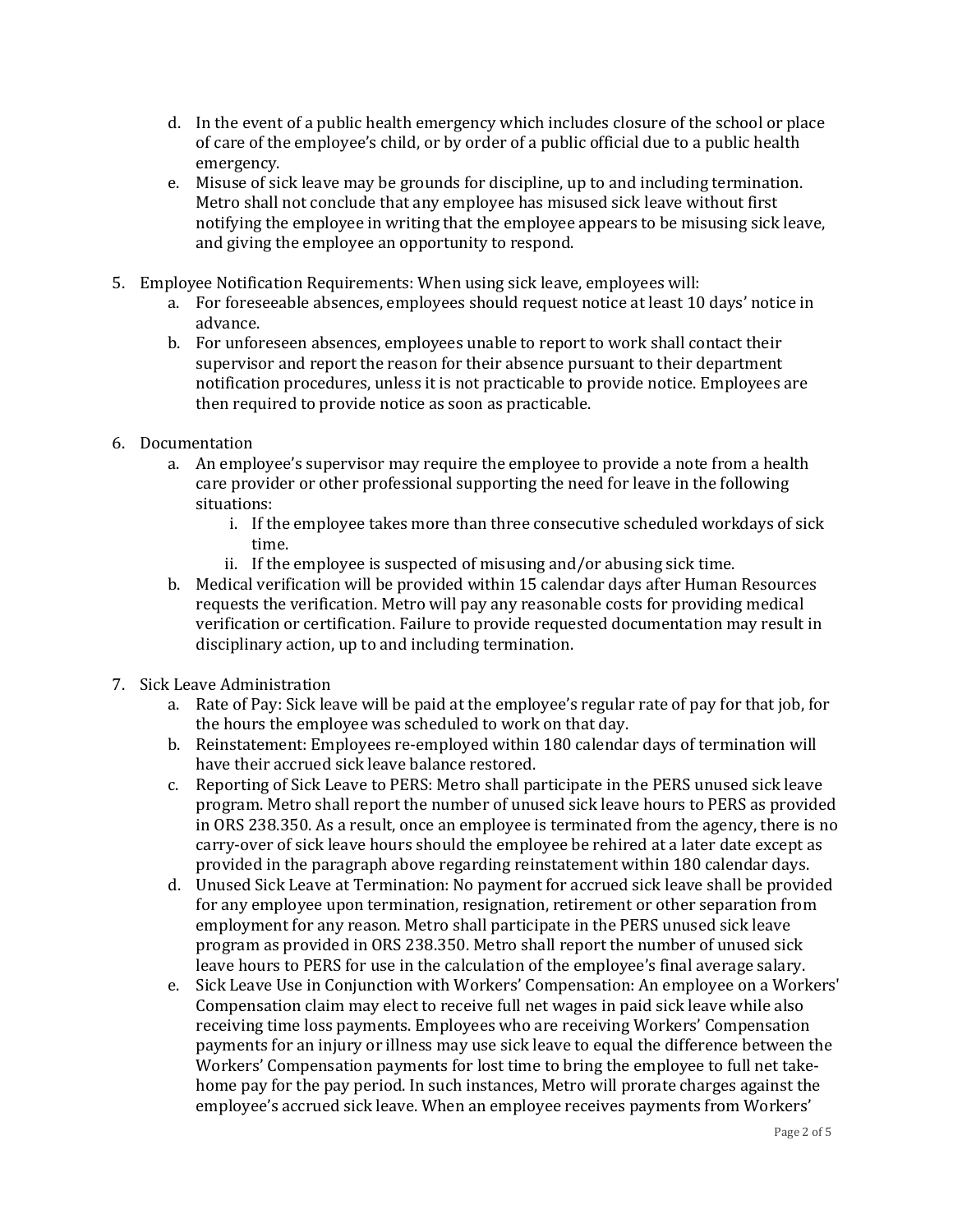- d. In the event of a public health emergency which includes closure of the school or place of care of the employee's child, or by order of a public official due to a public health emergency.
- e. Misuse of sick leave may be grounds for discipline, up to and including termination. Metro shall not conclude that any employee has misused sick leave without first notifying the employee in writing that the employee appears to be misusing sick leave, and giving the employee an opportunity to respond.
- 5. Employee Notification Requirements: When using sick leave, employees will:
	- a. For foreseeable absences, employees should request notice at least 10 days' notice in advance.
	- b. For unforeseen absences, employees unable to report to work shall contact their supervisor and report the reason for their absence pursuant to their department notification procedures, unless it is not practicable to provide notice. Employees are then required to provide notice as soon as practicable.
- 6. Documentation
	- a. An employee's supervisor may require the employee to provide a note from a health care provider or other professional supporting the need for leave in the following situations:
		- i. If the employee takes more than three consecutive scheduled workdays of sick time.
		- ii. If the employee is suspected of misusing and/or abusing sick time.
	- b. Medical verification will be provided within 15 calendar days after Human Resources requests the verification. Metro will pay any reasonable costs for providing medical verification or certification. Failure to provide requested documentation may result in disciplinary action, up to and including termination.
- 7. Sick Leave Administration
	- a. Rate of Pay: Sick leave will be paid at the employee's regular rate of pay for that job, for the hours the employee was scheduled to work on that day.
	- b. Reinstatement: Employees re-employed within 180 calendar days of termination will have their accrued sick leave balance restored.
	- c. Reporting of Sick Leave to PERS: Metro shall participate in the PERS unused sick leave program. Metro shall report the number of unused sick leave hours to PERS as provided in ORS 238.350. As a result, once an employee is terminated from the agency, there is no carry-over of sick leave hours should the employee be rehired at a later date except as provided in the paragraph above regarding reinstatement within 180 calendar days.
	- d. Unused Sick Leave at Termination: No payment for accrued sick leave shall be provided for any employee upon termination, resignation, retirement or other separation from employment for any reason. Metro shall participate in the PERS unused sick leave program as provided in ORS 238.350. Metro shall report the number of unused sick leave hours to PERS for use in the calculation of the employee's final average salary.
	- e. Sick Leave Use in Conjunction with Workers' Compensation: An employee on a Workers' Compensation claim may elect to receive full net wages in paid sick leave while also receiving time loss payments. Employees who are receiving Workers' Compensation payments for an injury or illness may use sick leave to equal the difference between the Workers' Compensation payments for lost time to bring the employee to full net takehome pay for the pay period. In such instances, Metro will prorate charges against the employee's accrued sick leave. When an employee receives payments from Workers'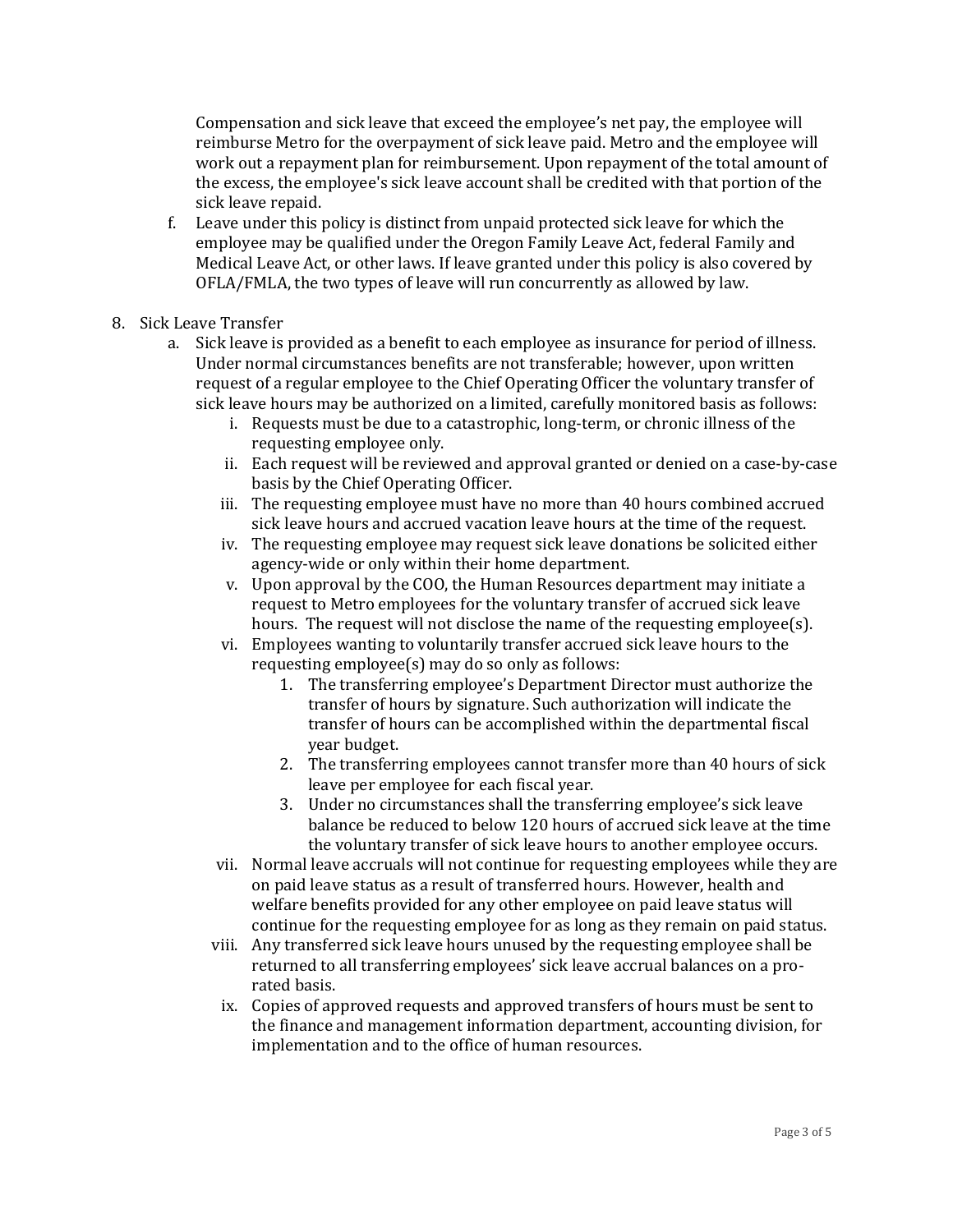Compensation and sick leave that exceed the employee's net pay, the employee will reimburse Metro for the overpayment of sick leave paid. Metro and the employee will work out a repayment plan for reimbursement. Upon repayment of the total amount of the excess, the employee's sick leave account shall be credited with that portion of the sick leave repaid.

- f. Leave under this policy is distinct from unpaid protected sick leave for which the employee may be qualified under the Oregon Family Leave Act, federal Family and Medical Leave Act, or other laws. If leave granted under this policy is also covered by OFLA/FMLA, the two types of leave will run concurrently as allowed by law.
- 8. Sick Leave Transfer
	- a. Sick leave is provided as a benefit to each employee as insurance for period of illness. Under normal circumstances benefits are not transferable; however, upon written request of a regular employee to the Chief Operating Officer the voluntary transfer of sick leave hours may be authorized on a limited, carefully monitored basis as follows:
		- i. Requests must be due to a catastrophic, long-term, or chronic illness of the requesting employee only.
		- ii. Each request will be reviewed and approval granted or denied on a case-by-case basis by the Chief Operating Officer.
		- iii. The requesting employee must have no more than 40 hours combined accrued sick leave hours and accrued vacation leave hours at the time of the request.
		- iv. The requesting employee may request sick leave donations be solicited either agency-wide or only within their home department.
		- v. Upon approval by the COO, the Human Resources department may initiate a request to Metro employees for the voluntary transfer of accrued sick leave hours. The request will not disclose the name of the requesting employee(s).
		- vi. Employees wanting to voluntarily transfer accrued sick leave hours to the requesting employee(s) may do so only as follows:
			- 1. The transferring employee's Department Director must authorize the transfer of hours by signature. Such authorization will indicate the transfer of hours can be accomplished within the departmental fiscal year budget.
			- 2. The transferring employees cannot transfer more than 40 hours of sick leave per employee for each fiscal year.
			- 3. Under no circumstances shall the transferring employee's sick leave balance be reduced to below 120 hours of accrued sick leave at the time the voluntary transfer of sick leave hours to another employee occurs.
		- vii. Normal leave accruals will not continue for requesting employees while they are on paid leave status as a result of transferred hours. However, health and welfare benefits provided for any other employee on paid leave status will continue for the requesting employee for as long as they remain on paid status.
		- viii. Any transferred sick leave hours unused by the requesting employee shall be returned to all transferring employees' sick leave accrual balances on a prorated basis.
			- ix. Copies of approved requests and approved transfers of hours must be sent to the finance and management information department, accounting division, for implementation and to the office of human resources.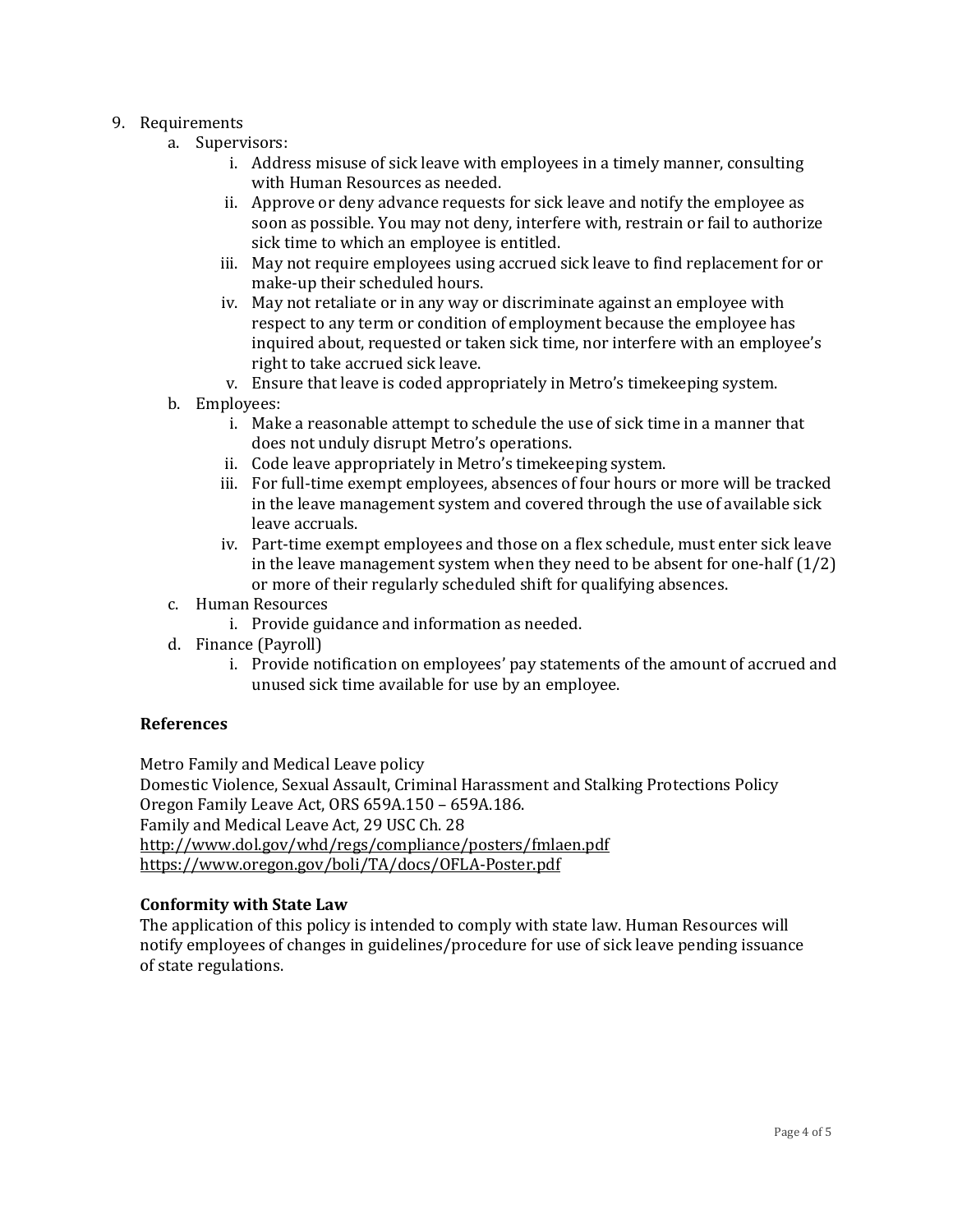### 9. Requirements

- a. Supervisors:
	- i. Address misuse of sick leave with employees in a timely manner, consulting with Human Resources as needed.
	- ii. Approve or deny advance requests for sick leave and notify the employee as soon as possible. You may not deny, interfere with, restrain or fail to authorize sick time to which an employee is entitled.
	- iii. May not require employees using accrued sick leave to find replacement for or make-up their scheduled hours.
	- iv. May not retaliate or in any way or discriminate against an employee with respect to any term or condition of employment because the employee has inquired about, requested or taken sick time, nor interfere with an employee's right to take accrued sick leave.
	- v. Ensure that leave is coded appropriately in Metro's timekeeping system.
- b. Employees:
	- i. Make a reasonable attempt to schedule the use of sick time in a manner that does not unduly disrupt Metro's operations.
	- ii. Code leave appropriately in Metro's timekeeping system.
	- iii. For full-time exempt employees, absences of four hours or more will be tracked in the leave management system and covered through the use of available sick leave accruals.
	- iv. Part-time exempt employees and those on a flex schedule, must enter sick leave in the leave management system when they need to be absent for one-half (1/2) or more of their regularly scheduled shift for qualifying absences.
- c. Human Resources
	- i. Provide guidance and information as needed.
- d. Finance (Payroll)
	- i. Provide notification on employees' pay statements of the amount of accrued and unused sick time available for use by an employee.

#### **References**

Metro Family and Medical Leave policy Domestic Violence, Sexual Assault, Criminal Harassment and Stalking Protections Policy Oregon Family Leave Act, ORS 659A.150 – 659A.186. Family and Medical Leave Act, 29 USC Ch. 28 <http://www.dol.gov/whd/regs/compliance/posters/fmlaen.pdf> <https://www.oregon.gov/boli/TA/docs/OFLA-Poster.pdf>

#### **Conformity with State Law**

The application of this policy is intended to comply with state law. Human Resources will notify employees of changes in guidelines/procedure for use of sick leave pending issuance of state regulations.